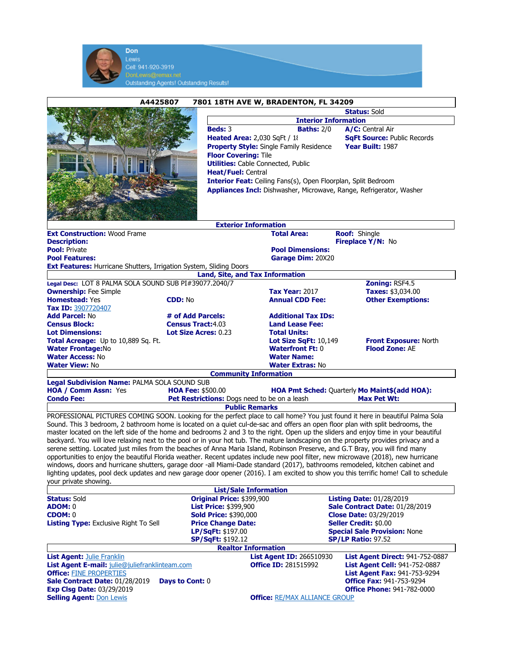| Lewis                                                                                                                                                                                                                                                                      |                                                                                                       |                                                |                                                                            |
|----------------------------------------------------------------------------------------------------------------------------------------------------------------------------------------------------------------------------------------------------------------------------|-------------------------------------------------------------------------------------------------------|------------------------------------------------|----------------------------------------------------------------------------|
| Cell: 941-920-3919                                                                                                                                                                                                                                                         |                                                                                                       |                                                |                                                                            |
| DonLewis@remax.net                                                                                                                                                                                                                                                         |                                                                                                       |                                                |                                                                            |
|                                                                                                                                                                                                                                                                            | <b>Outstanding Agents! Outstanding Results!</b>                                                       |                                                |                                                                            |
| A4425807                                                                                                                                                                                                                                                                   |                                                                                                       | 7801 18TH AVE W, BRADENTON, FL 34209           |                                                                            |
|                                                                                                                                                                                                                                                                            | <b>Status: Sold</b>                                                                                   |                                                |                                                                            |
|                                                                                                                                                                                                                                                                            | <b>Interior Information</b>                                                                           |                                                |                                                                            |
|                                                                                                                                                                                                                                                                            | Beds: 3<br><b>Heated Area: 2,030 SqFt / 18</b>                                                        | <b>Baths: 2/0</b>                              | A/C: Central Air<br><b>SqFt Source: Public Records</b>                     |
|                                                                                                                                                                                                                                                                            |                                                                                                       | <b>Property Style:</b> Single Family Residence | Year Built: 1987                                                           |
|                                                                                                                                                                                                                                                                            | <b>Floor Covering: Tile</b>                                                                           |                                                |                                                                            |
|                                                                                                                                                                                                                                                                            | <b>Utilities:</b> Cable Connected, Public                                                             |                                                |                                                                            |
| Heat/Fuel: Central<br>Interior Feat: Ceiling Fans(s), Open Floorplan, Split Bedroom                                                                                                                                                                                        |                                                                                                       |                                                |                                                                            |
|                                                                                                                                                                                                                                                                            |                                                                                                       |                                                | Appliances Incl: Dishwasher, Microwave, Range, Refrigerator, Washer        |
|                                                                                                                                                                                                                                                                            |                                                                                                       |                                                |                                                                            |
|                                                                                                                                                                                                                                                                            |                                                                                                       |                                                |                                                                            |
|                                                                                                                                                                                                                                                                            | <b>Exterior Information</b>                                                                           |                                                |                                                                            |
| <b>Ext Construction: Wood Frame</b>                                                                                                                                                                                                                                        |                                                                                                       | <b>Total Area:</b>                             | Roof: Shingle                                                              |
| <b>Description:</b>                                                                                                                                                                                                                                                        |                                                                                                       |                                                | Fireplace Y/N: No                                                          |
| <b>Pool: Private</b><br><b>Pool Features:</b>                                                                                                                                                                                                                              |                                                                                                       | <b>Pool Dimensions:</b><br>Garage Dim: 20X20   |                                                                            |
| <b>Ext Features: Hurricane Shutters, Irrigation System, Sliding Doors</b>                                                                                                                                                                                                  |                                                                                                       |                                                |                                                                            |
|                                                                                                                                                                                                                                                                            | Land, Site, and Tax Information                                                                       |                                                |                                                                            |
| Legal Desc: LOT 8 PALMA SOLA SOUND SUB PI#39077.2040/7<br><b>Ownership:</b> Fee Simple                                                                                                                                                                                     |                                                                                                       | <b>Tax Year: 2017</b>                          | Zoning: RSF4.5<br><b>Taxes: \$3,034.00</b>                                 |
| <b>Homestead: Yes</b>                                                                                                                                                                                                                                                      | <b>CDD: No</b>                                                                                        | <b>Annual CDD Fee:</b>                         | <b>Other Exemptions:</b>                                                   |
| Tax ID: 3907720407                                                                                                                                                                                                                                                         |                                                                                                       |                                                |                                                                            |
| <b>Add Parcel: No</b><br><b>Census Block:</b>                                                                                                                                                                                                                              | # of Add Parcels:<br><b>Additional Tax IDs:</b><br><b>Census Tract:4.03</b><br><b>Land Lease Fee:</b> |                                                |                                                                            |
| <b>Lot Dimensions:</b>                                                                                                                                                                                                                                                     | <b>Lot Size Acres: 0.23</b>                                                                           | <b>Total Units:</b>                            |                                                                            |
| <b>Total Acreage:</b> Up to 10,889 Sq. Ft.                                                                                                                                                                                                                                 |                                                                                                       | <b>Lot Size SqFt: 10,149</b>                   | Front Exposure: North                                                      |
| <b>Water Frontage:No</b><br><b>Water Access: No</b>                                                                                                                                                                                                                        |                                                                                                       | <b>Waterfront Ft: 0</b><br><b>Water Name:</b>  | <b>Flood Zone: AE</b>                                                      |
| <b>Water View: No</b>                                                                                                                                                                                                                                                      |                                                                                                       | <b>Water Extras: No</b>                        |                                                                            |
|                                                                                                                                                                                                                                                                            | <b>Community Information</b>                                                                          |                                                |                                                                            |
|                                                                                                                                                                                                                                                                            |                                                                                                       |                                                |                                                                            |
| Legal Subdivision Name: PALMA SOLA SOUND SUB                                                                                                                                                                                                                               |                                                                                                       |                                                |                                                                            |
| <b>HOA / Comm Assn: Yes</b><br><b>Condo Fee:</b>                                                                                                                                                                                                                           | <b>HOA Fee: \$500.00</b>                                                                              |                                                | <b>HOA Pmt Sched: Quarterly Mo Maint\$(add HOA):</b><br><b>Max Pet Wt:</b> |
|                                                                                                                                                                                                                                                                            | Pet Restrictions: Dogs need to be on a leash<br><b>Public Remarks</b>                                 |                                                |                                                                            |
| PROFESSIONAL PICTURES COMING SOON. Looking for the perfect place to call home? You just found it here in beautiful Palma Sola                                                                                                                                              |                                                                                                       |                                                |                                                                            |
| Sound. This 3 bedroom, 2 bathroom home is located on a quiet cul-de-sac and offers an open floor plan with split bedrooms, the                                                                                                                                             |                                                                                                       |                                                |                                                                            |
| master located on the left side of the home and bedrooms 2 and 3 to the right. Open up the sliders and enjoy time in your beautiful<br>backyard. You will love relaxing next to the pool or in your hot tub. The mature landscaping on the property provides privacy and a |                                                                                                       |                                                |                                                                            |
| serene setting. Located just miles from the beaches of Anna Maria Island, Robinson Preserve, and G.T Bray, you will find many                                                                                                                                              |                                                                                                       |                                                |                                                                            |
| opportunities to enjoy the beautiful Florida weather. Recent updates include new pool filter, new microwave (2018), new hurricane                                                                                                                                          |                                                                                                       |                                                |                                                                            |
| windows, doors and hurricane shutters, garage door -all Miami-Dade standard (2017), bathrooms remodeled, kitchen cabinet and<br>lighting updates, pool deck updates and new garage door opener (2016). I am excited to show you this terrific home! Call to schedule       |                                                                                                       |                                                |                                                                            |
| vour private showing.                                                                                                                                                                                                                                                      |                                                                                                       |                                                |                                                                            |
|                                                                                                                                                                                                                                                                            | <b>List/Sale Information</b>                                                                          |                                                |                                                                            |
| <b>Status: Sold</b><br><b>ADOM: 0</b>                                                                                                                                                                                                                                      | Original Price: \$399,900<br><b>List Price: \$399,900</b>                                             |                                                | <b>Listing Date: 01/28/2019</b><br>Sale Contract Date: 01/28/2019          |
| <b>CDOM: 0</b>                                                                                                                                                                                                                                                             | <b>Sold Price: \$390,000</b>                                                                          |                                                | <b>Close Date: 03/29/2019</b>                                              |
| <b>Listing Type:</b> Exclusive Right To Sell                                                                                                                                                                                                                               | <b>Price Change Date:</b><br>LP/SqFt: \$197.00                                                        |                                                | <b>Seller Credit: \$0.00</b><br><b>Special Sale Provision: None</b>        |
|                                                                                                                                                                                                                                                                            | <b>SP/SqFt: \$192.12</b>                                                                              |                                                | <b>SP/LP Ratio: 97.52</b>                                                  |
|                                                                                                                                                                                                                                                                            | <b>Realtor Information</b>                                                                            |                                                |                                                                            |
| <b>List Agent: Julie Franklin</b>                                                                                                                                                                                                                                          |                                                                                                       | <b>List Agent ID: 266510930</b>                | <b>List Agent Direct: 941-752-0887</b>                                     |
| List Agent E-mail: julie@juliefranklinteam.com<br><b>Office: FINE PROPERTIES</b>                                                                                                                                                                                           |                                                                                                       | <b>Office ID: 281515992</b>                    | <b>List Agent Cell: 941-752-0887</b><br>List Agent Fax: 941-753-9294       |
| Sale Contract Date: 01/28/2019                                                                                                                                                                                                                                             | <b>Days to Cont: 0</b>                                                                                |                                                | <b>Office Fax: 941-753-9294</b>                                            |
| <b>Exp Clsg Date: 03/29/2019</b><br><b>Selling Agent: Don Lewis</b>                                                                                                                                                                                                        |                                                                                                       | <b>Office: RE/MAX ALLIANCE GROUP</b>           | <b>Office Phone: 941-782-0000</b>                                          |